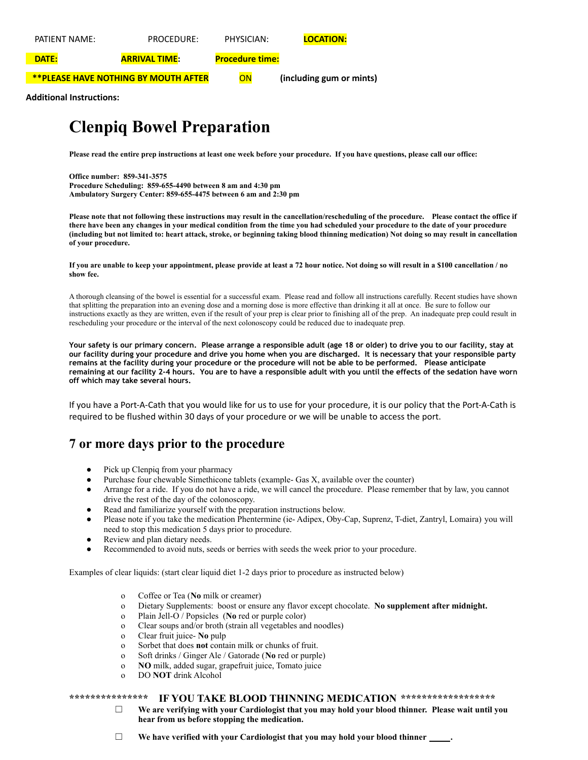| PATIFNT NAMF: | PROCEDURE:                                  | PHYSICIAN:             | <b>LOCATION:</b>         |
|---------------|---------------------------------------------|------------------------|--------------------------|
| <b>DATE:</b>  | <b>ARRIVAL TIME:</b>                        | <b>Procedure time:</b> |                          |
|               | <b>**PLEASE HAVE NOTHING BY MOUTH AFTER</b> | ON                     | (including gum or mints) |

**Additional Instructions:**

# **Clenpiq Bowel Preparation**

Please read the entire prep instructions at least one week before your procedure. If you have questions, please call our office:

**Office number: 859-341-3575 Procedure Scheduling: 859-655-4490 between 8 am and 4:30 pm Ambulatory Surgery Center: 859-655-4475 between 6 am and 2:30 pm**

Please note that not following these instructions may result in the cancellation/rescheduling of the procedure. Please contact the office if there have been any changes in your medical condition from the time you had scheduled your procedure to the date of your procedure (including but not limited to: heart attack, stroke, or beginning taking blood thinning medication) Not doing so may result in cancellation **of your procedure.**

If you are unable to keep your appointment, please provide at least a 72 hour notice. Not doing so will result in a \$100 cancellation / no **show fee.**

A thorough cleansing of the bowel is essential for a successful exam. Please read and follow all instructions carefully. Recent studies have shown that splitting the preparation into an evening dose and a morning dose is more effective than drinking it all at once. Be sure to follow our instructions exactly as they are written, even if the result of your prep is clear prior to finishing all of the prep. An inadequate prep could result in rescheduling your procedure or the interval of the next colonoscopy could be reduced due to inadequate prep.

Your safety is our primary concern. Please arrange a responsible adult (age 18 or older) to drive you to our facility, stay at our facility during your procedure and drive you home when you are discharged. It is necessary that your responsible party remains at the facility during your procedure or the procedure will not be able to be performed. Please anticipate remaining at our facility 2-4 hours. You are to have a responsible adult with you until the effects of the sedation have worn **off which may take several hours.**

If you have a Port-A-Cath that you would like for us to use for your procedure, it is our policy that the Port-A-Cath is required to be flushed within 30 days of your procedure or we will be unable to access the port.

## **7 or more days prior to the procedure**

- Pick up Clenpiq from your pharmacy
- Purchase four chewable Simethicone tablets (example- Gas X, available over the counter)
- Arrange for a ride. If you do not have a ride, we will cancel the procedure. Please remember that by law, you cannot drive the rest of the day of the colonoscopy.
- Read and familiarize yourself with the preparation instructions below.
- Please note if you take the medication Phentermine (ie- Adipex, Oby-Cap, Suprenz, T-diet, Zantryl, Lomaira) you will need to stop this medication 5 days prior to procedure.
- Review and plan dietary needs.
- Recommended to avoid nuts, seeds or berries with seeds the week prior to your procedure.

Examples of clear liquids: (start clear liquid diet 1-2 days prior to procedure as instructed below)

- o Coffee or Tea (**No** milk or creamer)
- o Dietary Supplements: boost or ensure any flavor except chocolate. **No supplement after midnight.**
- o Plain Jell-O / Popsicles (**No** red or purple color)
- o Clear soups and/or broth (strain all vegetables and noodles)
- o Clear fruit juice- **No** pulp
- o Sorbet that does **not** contain milk or chunks of fruit.
- o Soft drinks / Ginger Ale / Gatorade (**No** red or purple)
- o **NO** milk, added sugar, grapefruit juice, Tomato juice
- o DO **NOT** drink Alcohol

### **\*\*\*\*\*\*\*\*\*\*\*\*\*\*\* IF YOU TAKE BLOOD THINNING MEDICATION \*\*\*\*\*\*\*\*\*\*\*\*\*\*\*\*\*\***

☐ **We are verifying with your Cardiologist that you may hold your blood thinner. Please wait until you hear from us before stopping the medication.**

☐ **We have verified with your Cardiologist that you may hold your blood thinner .**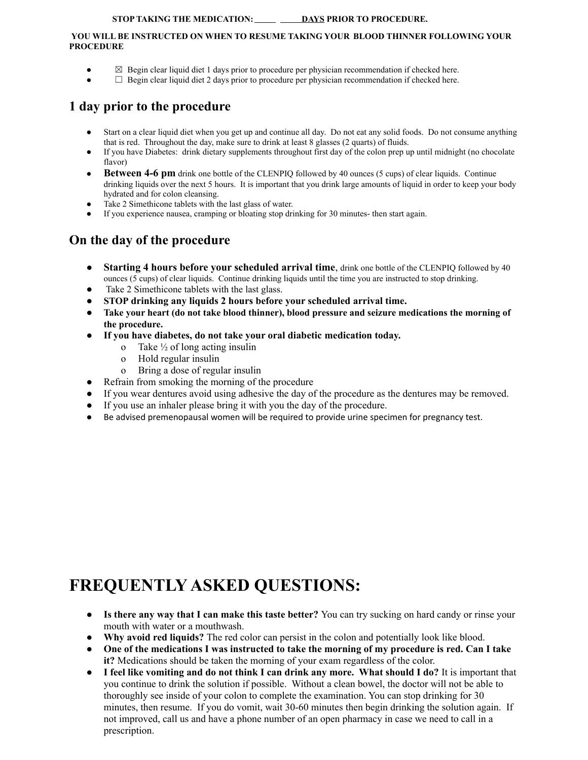### **STOP TAKING THE MEDICATION: DAYS PRIOR TO PROCEDURE.**

#### **YOU WILL BE INSTRUCTED ON WHEN TO RESUME TAKING YOUR BLOOD THINNER FOLLOWING YOUR PROCEDURE**

- **△** Begin clear liquid diet 1 days prior to procedure per physician recommendation if checked here.
- $\Box$  Begin clear liquid diet 2 days prior to procedure per physician recommendation if checked here.

## **1 day prior to the procedure**

- Start on a clear liquid diet when you get up and continue all day. Do not eat any solid foods. Do not consume anything that is red. Throughout the day, make sure to drink at least 8 glasses (2 quarts) of fluids.
- If you have Diabetes: drink dietary supplements throughout first day of the colon prep up until midnight (no chocolate flavor)
- **Between 4-6 pm** drink one bottle of the CLENPIQ followed by 40 ounces (5 cups) of clear liquids. Continue drinking liquids over the next 5 hours. It is important that you drink large amounts of liquid in order to keep your body hydrated and for colon cleansing.
- Take 2 Simethicone tablets with the last glass of water.
- **●** If you experience nausea, cramping or bloating stop drinking for 30 minutes- then start again.

## **On the day of the procedure**

- **Starting 4 hours before your scheduled arrival time**, drink one bottle of the CLENPIQ followed by 40 ounces (5 cups) of clear liquids. Continue drinking liquids until the time you are instructed to stop drinking.
- Take 2 Simethicone tablets with the last glass.
- **● STOP drinking any liquids 2 hours before your scheduled arrival time.**
- **● Take your heart (do not take blood thinner), blood pressure and seizure medications the morning of the procedure.**
- **● If you have diabetes, do not take your oral diabetic medication today.**
	- o Take  $\frac{1}{2}$  of long acting insulin
	- o Hold regular insulin
	- o Bring a dose of regular insulin
- Refrain from smoking the morning of the procedure
- If you wear dentures avoid using adhesive the day of the procedure as the dentures may be removed.
- If you use an inhaler please bring it with you the day of the procedure.
- Be advised premenopausal women will be required to provide urine specimen for pregnancy test.

# **FREQUENTLY ASKED QUESTIONS:**

- **Is there any way that I can make this taste better?** You can try sucking on hard candy or rinse your mouth with water or a mouthwash.
- **Why avoid red liquids?** The red color can persist in the colon and potentially look like blood.
- **One of the medications I was instructed to take the morning of my procedure is red. Can I take it?** Medications should be taken the morning of your exam regardless of the color.
- **I feel like vomiting and do not think I can drink any more. What should I do?** It is important that you continue to drink the solution if possible. Without a clean bowel, the doctor will not be able to thoroughly see inside of your colon to complete the examination. You can stop drinking for 30 minutes, then resume. If you do vomit, wait 30-60 minutes then begin drinking the solution again. If not improved, call us and have a phone number of an open pharmacy in case we need to call in a prescription.